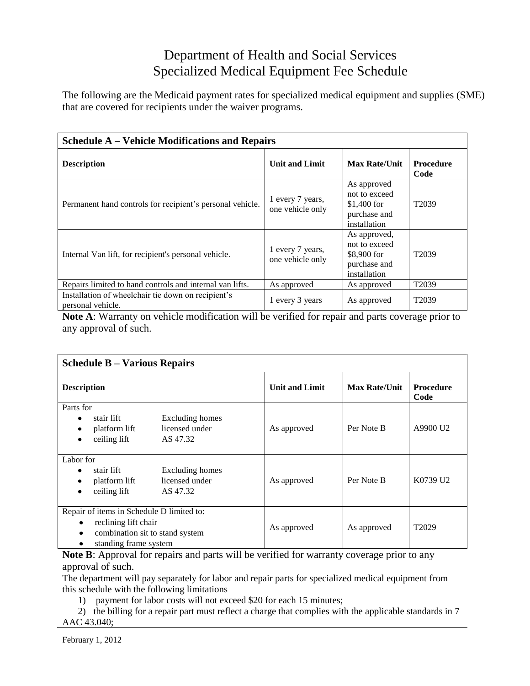## Department of Health and Social Services Specialized Medical Equipment Fee Schedule

The following are the Medicaid payment rates for specialized medical equipment and supplies (SME) that are covered for recipients under the waiver programs.

| <b>Schedule A – Vehicle Modifications and Repairs</b>                   |                                      |                                                                              |                          |
|-------------------------------------------------------------------------|--------------------------------------|------------------------------------------------------------------------------|--------------------------|
| <b>Description</b>                                                      | <b>Unit and Limit</b>                | <b>Max Rate/Unit</b>                                                         | <b>Procedure</b><br>Code |
| Permanent hand controls for recipient's personal vehicle.               | 1 every 7 years,<br>one vehicle only | As approved<br>not to exceed<br>$$1,400$ for<br>purchase and<br>installation | T <sub>2039</sub>        |
| Internal Van lift, for recipient's personal vehicle.                    | 1 every 7 years,<br>one vehicle only | As approved,<br>not to exceed<br>\$8,900 for<br>purchase and<br>installation | T <sub>20</sub> 39       |
| Repairs limited to hand controls and internal van lifts.                | As approved                          | As approved                                                                  | T <sub>2039</sub>        |
| Installation of wheelchair tie down on recipient's<br>personal vehicle. | 1 every 3 years                      | As approved                                                                  | T <sub>2039</sub>        |

**Note A**: Warranty on vehicle modification will be verified for repair and parts coverage prior to any approval of such.

| <b>Schedule B – Various Repairs</b>                                                                                                          |                                   |                       |                      |                          |
|----------------------------------------------------------------------------------------------------------------------------------------------|-----------------------------------|-----------------------|----------------------|--------------------------|
| <b>Description</b>                                                                                                                           |                                   | <b>Unit and Limit</b> | <b>Max Rate/Unit</b> | <b>Procedure</b><br>Code |
| Parts for<br>stair lift<br>platform lift<br>ceiling lift<br>AS 47.32<br>٠                                                                    | Excluding homes<br>licensed under | As approved           | Per Note B           | A9900 U2                 |
| Labor for<br>stair lift<br>platform lift<br>ceiling lift<br>AS 47.32<br>٠                                                                    | Excluding homes<br>licensed under | As approved           | Per Note B           | K0739 U2                 |
| Repair of items in Schedule D limited to:<br>reclining lift chair<br>٠<br>combination sit to stand system<br>٠<br>standing frame system<br>٠ |                                   | As approved           | As approved          | T <sub>2029</sub>        |

**Note B**: Approval for repairs and parts will be verified for warranty coverage prior to any approval of such.

The department will pay separately for labor and repair parts for specialized medical equipment from this schedule with the following limitations

1) payment for labor costs will not exceed \$20 for each 15 minutes;

2) the billing for a repair part must reflect a charge that complies with the applicable standards in 7 AAC 43.040;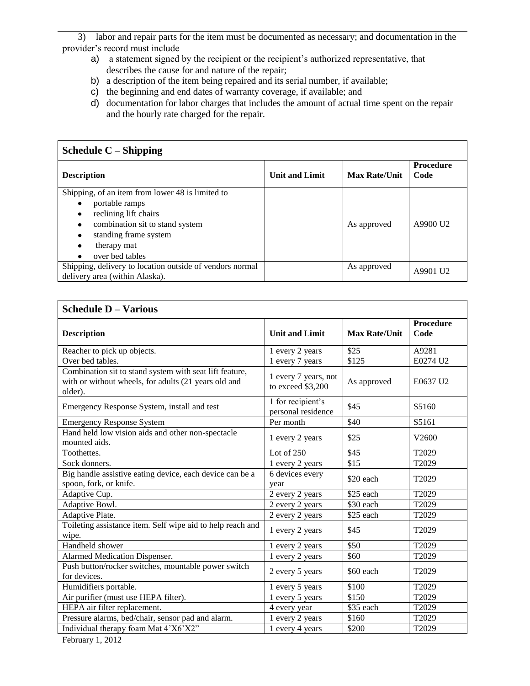3) labor and repair parts for the item must be documented as necessary; and documentation in the provider's record must include

- a) a statement signed by the recipient or the recipient's authorized representative, that describes the cause for and nature of the repair;
- b) a description of the item being repaired and its serial number, if available;
- c) the beginning and end dates of warranty coverage, if available; and
- d) documentation for labor charges that includes the amount of actual time spent on the repair and the hourly rate charged for the repair.

| Schedule $C$ – Shipping                                                                                                                                                                             |                       |                      |                          |
|-----------------------------------------------------------------------------------------------------------------------------------------------------------------------------------------------------|-----------------------|----------------------|--------------------------|
| <b>Description</b>                                                                                                                                                                                  | <b>Unit and Limit</b> | <b>Max Rate/Unit</b> | <b>Procedure</b><br>Code |
| Shipping, of an item from lower 48 is limited to<br>portable ramps<br>reclining lift chairs<br>combination sit to stand system<br>٠<br>standing frame system<br>٠<br>therapy mat<br>over bed tables |                       | As approved          | A9900 U <sub>2</sub>     |
| Shipping, delivery to location outside of vendors normal<br>delivery area (within Alaska).                                                                                                          |                       | As approved          | A9901 U <sub>2</sub>     |

| <b>Schedule D - Various</b>                                                                                                |                                           |                      |                   |
|----------------------------------------------------------------------------------------------------------------------------|-------------------------------------------|----------------------|-------------------|
| <b>Description</b>                                                                                                         | <b>Unit and Limit</b>                     | <b>Max Rate/Unit</b> | Procedure<br>Code |
| Reacher to pick up objects.                                                                                                | 1 every 2 years                           | \$25                 | A9281             |
| Over bed tables.                                                                                                           | 1 every 7 years                           | \$125                | E0274 U2          |
| Combination sit to stand system with seat lift feature,<br>with or without wheels, for adults (21 years old and<br>older). | 1 every 7 years, not<br>to exceed \$3,200 | As approved          | E0637 U2          |
| Emergency Response System, install and test                                                                                | 1 for recipient's<br>personal residence   | \$45                 | S5160             |
| <b>Emergency Response System</b>                                                                                           | Per month                                 | \$40                 | S5161             |
| Hand held low vision aids and other non-spectacle<br>mounted aids.                                                         | 1 every 2 years                           | \$25                 | V <sub>2600</sub> |
| Toothettes.                                                                                                                | Lot of $250$                              | \$45                 | T2029             |
| Sock donners.                                                                                                              | 1 every 2 years                           | \$15                 | T2029             |
| Big handle assistive eating device, each device can be a<br>spoon, fork, or knife.                                         | 6 devices every<br>year                   | \$20 each            | T2029             |
| Adaptive Cup.                                                                                                              | 2 every 2 years                           | \$25 each            | T2029             |
| Adaptive Bowl.                                                                                                             | 2 every 2 years                           | \$30 each            | T2029             |
| Adaptive Plate.                                                                                                            | 2 every 2 years                           | \$25 each            | T2029             |
| Toileting assistance item. Self wipe aid to help reach and<br>wipe.                                                        | 1 every 2 years                           | \$45                 | T <sub>2029</sub> |
| Handheld shower                                                                                                            | 1 every 2 years                           | \$50                 | T2029             |
| Alarmed Medication Dispenser.                                                                                              | 1 every 2 years                           | \$60                 | T2029             |
| Push button/rocker switches, mountable power switch<br>for devices.                                                        | 2 every 5 years                           | \$60 each            | T <sub>2029</sub> |
| Humidifiers portable.                                                                                                      | 1 every 5 years                           | \$100                | T2029             |
| Air purifier (must use HEPA filter).                                                                                       | 1 every 5 years                           | \$150                | T2029             |
| HEPA air filter replacement.                                                                                               | 4 every year                              | \$35 each            | T2029             |
| Pressure alarms, bed/chair, sensor pad and alarm.                                                                          | 1 every 2 years                           | \$160                | T2029             |
| Individual therapy foam Mat 4'X6'X2"                                                                                       | 1 every 4 years                           | \$200                | T2029             |

February 1, 2012